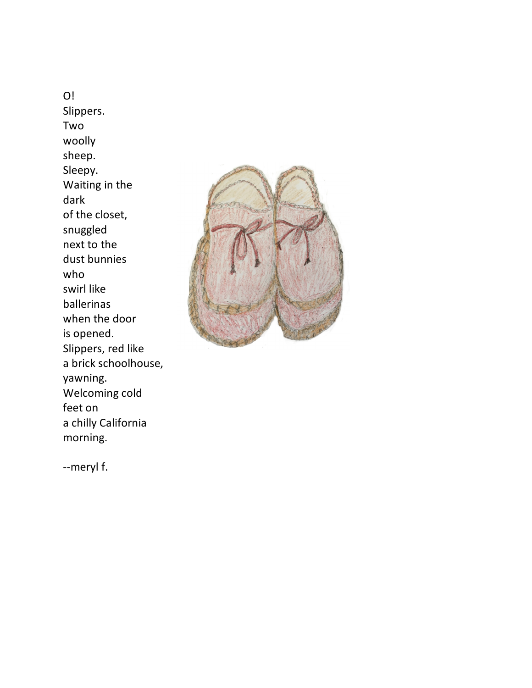O! Slippers. Two woolly sheep. Sleepy. Waiting in the dark of the closet, snuggled next to the dust bunnies who swirl like ballerinas when the door is opened. Slippers, red like a brick schoolhouse, yawning. Welcoming cold feet on a chilly California morning.



--meryl f.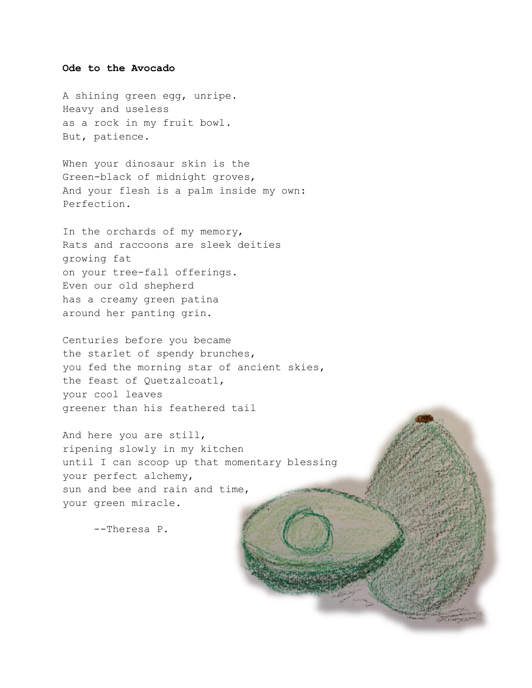## **Ode to the Avocado**

A shining green egg, unripe. Heavy and useless as a rock in my fruit bowl. But, patience.

When your dinosaur skin is the Green-black of midnight groves, And your flesh is a palm inside my own: Perfection.

In the orchards of my memory, Rats and raccoons are sleek deities growing fat on your tree-fall offerings. Even our old shepherd has a creamy green patina around her panting grin.

Centuries before you became the starlet of spendy brunches, you fed the morning star of ancient skies, the feast of Quetzalcoatl, your cool leaves greener than his feathered tail

And here you are still, ripening slowly in my kitchen until I can scoop up that momentary blessing your perfect alchemy, sun and bee and rain and time, your green miracle.

--Theresa P.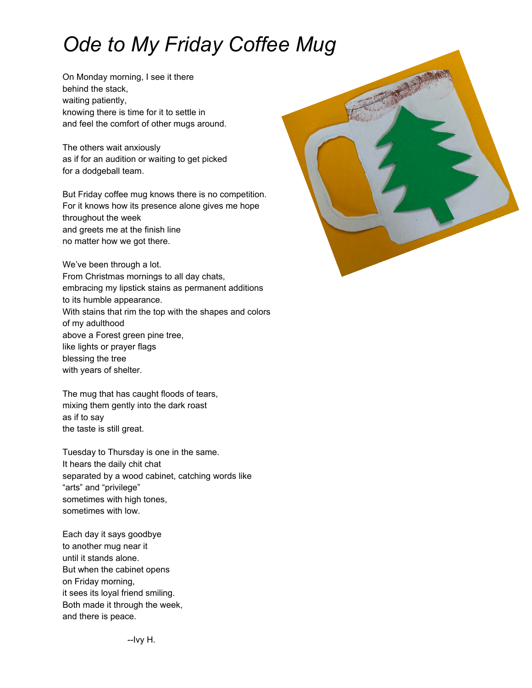## *Ode to My Friday Coffee Mug*

On Monday morning, I see it there behind the stack, waiting patiently, knowing there is time for it to settle in and feel the comfort of other mugs around.

The others wait anxiously as if for an audition or waiting to get picked for a dodgeball team.

But Friday coffee mug knows there is no competition. For it knows how its presence alone gives me hope throughout the week and greets me at the finish line no matter how we got there.

We've been through a lot. From Christmas mornings to all day chats, embracing my lipstick stains as permanent additions to its humble appearance. With stains that rim the top with the shapes and colors of my adulthood above a Forest green pine tree, like lights or prayer flags blessing the tree with years of shelter.

The mug that has caught floods of tears, mixing them gently into the dark roast as if to say the taste is still great.

Tuesday to Thursday is one in the same. It hears the daily chit chat separated by a wood cabinet, catching words like "arts" and "privilege" sometimes with high tones, sometimes with low.

Each day it says goodbye to another mug near it until it stands alone. But when the cabinet opens on Friday morning, it sees its loyal friend smiling. Both made it through the week, and there is peace.